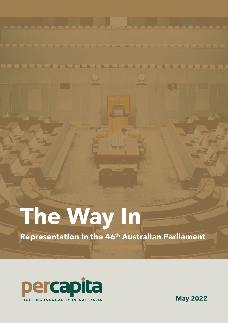# The Way In

Representation in the 46<sup>th</sup> Australian Parliament



Per Capita

**May 2022**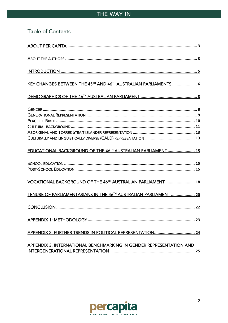# Table of Contents

| KEY CHANGES BETWEEN THE 45TH AND 46TH AUSTRALIAN PARLIAMENTS  6         |
|-------------------------------------------------------------------------|
|                                                                         |
|                                                                         |
| EDUCATIONAL BACKGROUND OF THE 46 <sup>TH</sup> AUSTRALIAN PARLIAMENT 15 |
|                                                                         |
| <b>VOCATIONAL BACKGROUND OF THE 46TH AUSTRALIAN PARLIAMENT  18</b>      |
| TENURE OF PARLIAMENTARIANS IN THE 46TH AUSTRALIAN PARLIAMENT  20        |
|                                                                         |
|                                                                         |
|                                                                         |
| APPENDIX 3: INTERNATIONAL BENCHMARKING IN GENDER REPRESENTATION AND     |

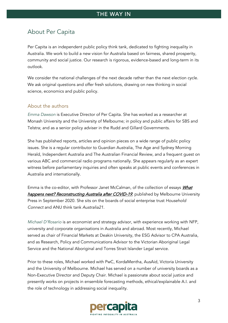# <span id="page-2-0"></span>About Per Capita

Per Capita is an independent public policy think tank, dedicated to fighting inequality in Australia. We work to build a new vision for Australia based on fairness, shared prosperity, community and social justice. Our research is rigorous, evidence-based and long-term in its outlook.

We consider the national challenges of the next decade rather than the next election cycle. We ask original questions and offer fresh solutions, drawing on new thinking in social science, economics and public policy.

#### <span id="page-2-1"></span>About the authors

*Emma Dawson* is Executive Director of Per Capita. She has worked as a researcher at Monash University and the University of Melbourne; in policy and public affairs for SBS and Telstra; and as a senior policy adviser in the Rudd and Gillard Governments.

She has published reports, articles and opinion pieces on a wide range of public policy issues. She is a regular contributor to Guardian Australia, The Age and Sydney Morning Herald, Independent Australia and The Australian Financial Review, and a frequent guest on various ABC and commercial radio programs nationally. She appears regularly as an expert witness before parliamentary inquiries and often speaks at public events and conferences in Australia and internationally.

Emma is the co-editor, with Professor Janet McCalman, of the collection of essays *What* [happens next? Reconstructing Australia after COVID-19](https://www.mup.com.au/books/what-happens-next-paperback-softback), published by Melbourne University Press in September 2020. She sits on the boards of social enterprise trust *Household Connect* and ANU think tank *Australia21*.

*Michael D'Rosario* is an economist and strategy advisor, with experience working with NFP, university and corporate organisations in Australia and abroad. Most recently, Michael served as chair of Financial Markets at Deakin University, the ESG Advisor to CPA Australia, and as Research, Policy and Communications Advisor to the Victorian Aboriginal Legal Service and the National Aboriginal and Torres Strait Islander Legal service.

Prior to these roles, Michael worked with PwC, KordaMentha, AusAid, Victoria University and the University of Melbourne. Michael has served on a number of university boards as a Non-Executive Director and Deputy Chair. Michael is passionate about social justice and presently works on projects in ensemble forecasting methods, ethical/explainable A.I. and the role of technology in addressing social inequality.

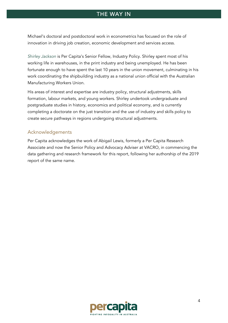Michael's doctoral and postdoctoral work in econometrics has focused on the role of innovation in driving job creation, economic development and services access.

*Shirley Jackson* is Per Capita's Senior Fellow, Industry Policy. Shirley spent most of his working life in warehouses, in the print industry and being unemployed. He has been fortunate enough to have spent the last 10 years in the union movement, culminating in his work coordinating the shipbuilding industry as a national union official with the Australian Manufacturing Workers Union.

His areas of interest and expertise are industry policy, structural adjustments, skills formation, labour markets, and young workers. Shirley undertook undergraduate and postgraduate studies in history, economics and political economy, and is currently completing a doctorate on the just transition and the use of industry and skills policy to create secure pathways in regions undergoing structural adjustments.

#### Acknowledgements

Per Capita acknowledges the work of Abigail Lewis, formerly a Per Capita Research Associate and now the Senior Policy and Advocacy Adviser at VACRO, in commencing the data gathering and research framework for this report, following her authorship of the 2019 report of the same name.

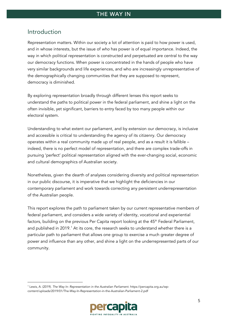## <span id="page-4-0"></span>Introduction

Representation matters. Within our society a lot of attention is paid to how power is used, and in whose interests, but the issue of *who* has power is of equal importance. Indeed, the way in which political representation is constructed and perpetuated are central to the way our democracy functions. When power is concentrated in the hands of people who have very similar backgrounds and life experiences, and who are increasingly unrepresentative of the demographically changing communities that they are supposed to represent, democracy is diminished.

By exploring representation broadly through different lenses this report seeks to understand the paths to political power in the federal parliament, and shine a light on the often invisible, yet significant, barriers to entry faced by too many people within our electoral system.

Understanding to what extent our parliament, and by extension our democracy, is inclusive and accessible is critical to understanding the agency of its citizenry. Our democracy operates within a real community made up of real people, and as a result it is fallible – indeed, there is no perfect model of representation, and there are complex trade-offs in pursuing 'perfect' political representation aligned with the ever-changing social, economic and cultural demographics of Australian society.

Nonetheless, given the dearth of analyses considering diversity and political representation in our public discourse, it is imperative that we highlight the deficiencies in our contemporary parliament and work towards correcting any persistent underrepresentation of the Australian people.

This report explores the path to parliament taken by our current representative members of federal parliament, and considers a wide variety of identity, vocational and experiential factors, building on the previous Per Capita report looking at the 45<sup>th</sup> Federal Parliament, and published in 20[1](#page-4-1)9.<sup>1</sup> At its core, the research seeks to understand whether there is a particular path to parliament that allows one group to exercise a much greater degree of power and influence than any other, and shine a light on the underrepresented parts of our community.

<span id="page-4-1"></span><sup>1</sup> Lewis, A. (2019). *The Way In: Representation in the Australian Parliament*. https://percapita.org.au/wpcontent/uploads/2019/01/The-Way-In-Representation-in-the-Australian-Parliament-2.pdf

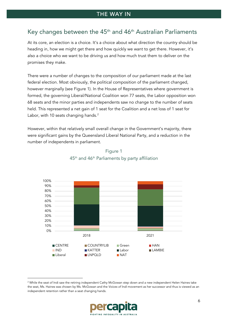## <span id="page-5-0"></span>Key changes between the  $45<sup>th</sup>$  and  $46<sup>th</sup>$  Australian Parliaments

At its core, an election is a choice. It's a choice about what direction the country should be heading in, how we might get there and how quickly we want to get there. However, it's also a choice who we want to be driving us and how much trust them to deliver on the promises they make.

There were a number of changes to the composition of our parliament made at the last federal election. Most obviously, the political composition of the parliament changed, however marginally (see Figure 1). In the House of Representatives where government is formed, the governing Liberal/National Coalition won 77 seats, the Labor opposition won 68 seats and the minor parties and independents saw no change to the number of seats held. This represented a net gain of 1 seat for the Coalition and a net loss of 1 seat for Labor, with 10 seats changing hands.<sup>[2](#page-5-1)</sup>

However, within that relatively small overall change in the Government's majority, there were significant gains by the Queensland Liberal National Party, and a reduction in the number of independents in parliament.



### Figure 1 45th and 46th Parliaments by party affiliation

<span id="page-5-1"></span><sup>&</sup>lt;sup>2</sup> While the seat of Indi saw the retiring independent Cathy McGowan step down and a new independent Helen Haines take the seat, Ms. Haines was chosen by Ms. McGowan and the *Voices of Indi* movement as her successor and thus is viewed as an independent retention rather than a seat changing hands.

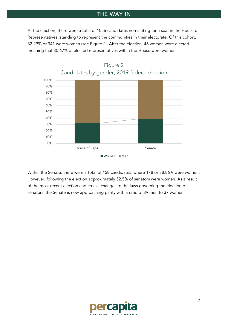At the election, there were a total of 1056 candidates nominating for a seat in the House of Representatives, standing to represent the communities in their electorate. Of this cohort, 32.29% or 341 were women (see Figure 2). After the election, 46 women were elected meaning that 30.67% of elected representatives within the House were women.



Figure 2 Candidates by gender, 2019 federal election

Within the Senate, there were a total of 458 candidates, where 178 or 38.86% were women. However, following the election approximately 52.5% of senators were women. As a result of the most recent election and crucial changes to the laws governing the election of senators, the Senate is now approaching parity with a ratio of 39 men to 37 women.

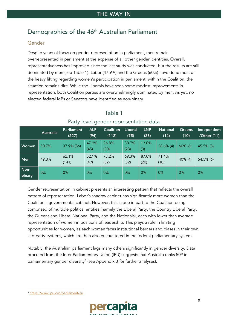# <span id="page-7-0"></span>Demographics of the 46<sup>th</sup> Australian Parliament

#### <span id="page-7-1"></span>Gender

Despite years of focus on gender representation in parliament, men remain overrepresented in parliament at the expense of all other gender identities. Overall, representativeness has improved since the last study was conducted, but the results are still dominated by men (see Table 1). Labor (47.9%) and the Greens (60%) have done most of the heavy lifting regarding women's participation in parliament: within the Coalition, the situation remains dire. While the Liberals have seen some modest improvements in representation, both Coalition parties are overwhelmingly dominated by men. As yet, no elected federal MPs or Senators have identified as non-binary.

|        | Australia | Parliament | <b>ALP</b> | <b>Coalition</b> | Liberal | <b>LNP</b> | <b>National</b> | <b>Greens</b> | Independent |
|--------|-----------|------------|------------|------------------|---------|------------|-----------------|---------------|-------------|
|        |           | (227)      | (94)       | (112)            | (75)    | (23)       | (14)            | (10)          | /Other (11) |
| Women  | 50.7%     |            | 47.9%      | 26.8%            | 30.7%   | 13.0%      | $28.6\%$ (4)    | $60\%$ (6)    | 45.5% (5)   |
|        |           | 37.9% (86) | (45)       | (30)             | (23)    | (3)        |                 |               |             |
| Men    | 49.3%     | 62.1%      | 52.1%      | 73.2%            | 69.3%   | 87.0%      | 71.4%           | $40\%$ (4)    | 54.5% (6)   |
|        |           | (141)      | (49)       | (82)             | (52)    | (20)       | (10)            |               |             |
| Non-   | 0%        | 0%         | 0%         | 0%               | 0%      | 0%         | 0%              | 0%            | 0%          |
| binary |           |            |            |                  |         |            |                 |               |             |

## Table 1 Party level gender representation data

Gender representation in cabinet presents an interesting pattern that reflects the overall pattern of representation. Labor's shadow cabinet has significantly more women than the Coalition's governmental cabinet. However, this is due in part to the Coalition being comprised of multiple political entities (namely the Liberal Party, the Country Liberal Party, the Queensland Liberal National Party, and the Nationals), each with lower than average representation of women in positions of leadership. This plays a role in limiting opportunities for women, as each woman faces institutional barriers and biases in their own sub-party systems, which are then also encountered in the federal parliamentary system.

Notably, the Australian parliament lags many others significantly in gender diversity. Data procured from the Inter Parliamentary Union (IPU) suggests that Australia ranks 50<sup>th</sup> in parliamentary gender diversity<sup>[3](#page-7-2)</sup> (see Appendix 3 for further analyses).

<span id="page-7-2"></span><sup>3</sup> <https://www.ipu.org/parliament/au>

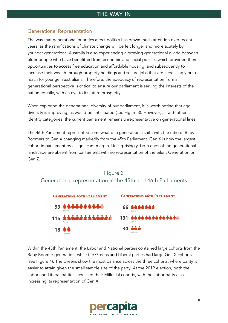#### <span id="page-8-0"></span>Generational Representation

The way that generational priorities affect politics has drawn much attention over recent years, as the ramifications of climate change will be felt longer and more acutely by younger generations. Australia is also experiencing a growing generational divide between older people who have benefitted from economic and social policies which provided them opportunities to access free education and affordable housing, and subsequently to increase their wealth through property holdings and secure jobs that are increasingly out of reach for younger Australians. Therefore, the adequacy of representation from a generational perspective is critical to ensure our parliament is serving the interests of the nation equally, with an eye to its future prosperity.

When exploring the generational diversity of our parliament, it is worth noting that age diversity is improving, as would be anticipated (see [Figure 3\)](#page-8-1). However, as with other identity categories, the current parliament remains unrepresentative on generational lines.

The 46th Parliament represented somewhat of a generational shift, with the ratio of Baby Boomers to Gen X changing markedly from the 45th Parliament. Gen X is now the largest cohort in parliament by a significant margin. Unsurprisingly, both ends of the generational landscape are absent from parliament, with no representation of the Silent Generation or Gen Z.



## <span id="page-8-1"></span>Figure 3 Generational representation in the 45th and 46th Parliaments

Within the 45th Parliament, the Labor and National parties contained large cohorts from the Baby Boomer generation, while the Greens and Liberal parties had large Gen X cohorts (see Figure 4). The Greens show the most balance across the three cohorts, where parity is easier to attain given the small sample size of the party. At the 2019 election, both the Labor and Liberal parties increased their Millenial cohorts, with the Labor party also increasing its representation of Gen X.

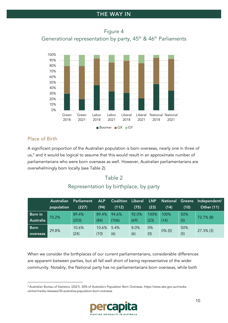Figure 4 Generational representation by party, 45<sup>th</sup> & 46<sup>th</sup> Parliaments



#### <span id="page-9-0"></span>Place of Birth

A significant proportion of the Australian population is born overseas, nearly one in three of us, [4](#page-9-1) and it would be logical to assume that this would result in an approximate number of parliamentarians who were born overseas as well. However, Australian parliamentarians are overwhelmingly born locally (see Table 2).

## Table 2

## Representation by birthplace, by party

|             | Australian | Parliament | <b>ALP</b> | <b>Coalition</b> | <b>Liberal</b> | <b>LNP</b> | <b>National</b> | <b>Greens</b> | Independent/      |
|-------------|------------|------------|------------|------------------|----------------|------------|-----------------|---------------|-------------------|
|             | population | (227)      | (94)       | (112)            | (75)           | (23)       | (14)            | (10)          | <b>Other (11)</b> |
| Born in     | 70.2%      | 89.4%      | 89.4%      | 94.6%            | 92.0%          | 100%       | 100%            | 50%           | $72.7\%$ (8)      |
| Australia   |            | (203)      | (84)       | (106)            | (69)           | (23)       | (14)            | (5)           |                   |
| <b>Born</b> | 29.8%      | 10.6%      | 10.6%      | 5.4%             | 8.0%           | 0%         |                 | 50%           | $27.3\%$ (3)      |
| overseas    |            | (24)       | (10)       | (6)              | (6)            | (0)        | $0\%$ (0)       | (5)           |                   |

When we consider the birthplaces of our current parliamentarians, considerable differences are apparent between parties, but all fall well short of being representative of the wider community. Notably, the National party has no parliamentarians born overseas, while both

<span id="page-9-1"></span><sup>4</sup> Australian Bureau of Statistics. (2021). 30% of Australia's Population Born Overseas. https://www.abs.gov.au/mediacentre/media-releases/30-australias-population-born-overseas

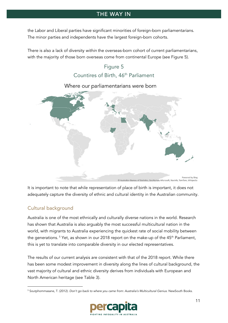the Labor and Liberal parties have significant minorities of foreign-born parliamentarians. The minor parties and independents have the largest foreign-born cohorts.

<span id="page-10-1"></span>There is also a lack of diversity *within* the overseas-born cohort of current parliamentarians, with the majority of those born overseas come from continental Europe (see [Figure 5\)](#page-10-1).

# Figure 5 Countires of Birth, 46<sup>th</sup> Parliament



# Where our parliamentarians were born

It is important to note that while representation of place of birth is important, it does not adequately capture the diversity of ethnic and cultural identity in the Australian community.

### <span id="page-10-0"></span>Cultural background

Australia is one of the most ethnically and culturally diverse nations in the world. Research has shown that Australia is also arguably the most successful multicultural nation in the world, with migrants to Australia experiencing the quickest rate of social mobility between the generations.<sup>[5](#page-10-2)</sup> Yet, as shown in our 2018 report on the make-up of the  $45<sup>th</sup>$  Parliament, this is yet to translate into comparable diversity in our elected representatives.

The results of our current analysis are consistent with that of the 2018 report. While there has been some modest improvement in diversity along the lines of cultural background, the vast majority of cultural and ethnic diversity derives from individuals with European and North American heritage (see Table 3).

<span id="page-10-2"></span><sup>5</sup> Soutphommasane, T. (2012). *Don't go back to where you came from: Australia's Multicultural Genius*. NewSouth Books.

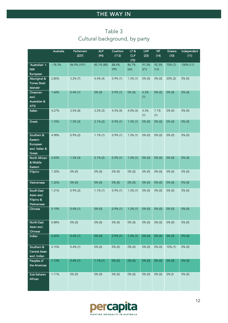# Table 3 Cultural background, by party

<span id="page-11-0"></span>

|                                                               | Australia  | Parliament<br>(227) | <b>ALP</b><br>(94) | Coalition<br>(112) | LP &<br><b>CLP</b><br>(75) | <b>LNP</b><br>(23) | NP<br>(14)    | Greens<br>(10) | Independent<br>(11) |
|---------------------------------------------------------------|------------|---------------------|--------------------|--------------------|----------------------------|--------------------|---------------|----------------|---------------------|
| 'Australian' +<br><b>NW</b><br>European                       | $~178.3\%$ | 86.9% (197)         | 85.1% (80)         | 88.4%<br>(99)      | 86.7%<br>(65)              | 91.3%<br>(21)      | 92.3%<br>(13) | 70% (7)        | 100% (11)           |
| Aboriginal &<br><b>Torres Strait</b><br>Islander              | 2.80%      | $3.2\%$ (7)         | $4.4\%$ (4)        | $0.9\%$ (1)        | $1.3\%$ (1)                | $0\%$ (0)          | $0\%$ (0)     | $20\% (2)$     | $0\%$ (0)           |
| Oceanian<br>excl.<br>Australian &<br><b>ATSI</b>              | 1.68%      | $0.4\%$ (1)         | $0\%$ (0)          | $0.9\%$ (1)        | $0\%$ (0)                  | 4.3%<br>(1)        | $0\%$ (0)     | $0\%$ (0)      | $0\%$ (0)           |
| Italian                                                       | 4.27%      | $3.5\%$ (8)         | $3.2\%$ (3)        | $4.5\%$ (5)        | $4.0\%$ (3)                | 4.3%<br>(1)        | 7.1%<br>(1)   | $0\%$ (0)      | $0\%$ (0)           |
| Greek                                                         | 1.70%      | $1.3\%$ (3)         | $2.1\%$ (2)        | $0.9\%$ (1)        | $1.3\%$ (1)                | $0\%$ (0)          | $0\%$ (0)     | $0\%$ (0)      | $0\%$ (0)           |
| Southern &<br>Eastern<br>European<br>excl. Italian &<br>Greek | 4.98%      | $0.9\%$ (2)         | $1.1\%$ (1)        | $0.9\%$ (1)        | $1.3\%$ (1)                | $0\%$ (0)          | $0\%$ (0)     | $0\%$ (0)      | $0\%$ (0)           |
| North African<br>& Middle<br>Eastern                          | 2.83%      | $1.3\%$ (3)         | $2.1\%$ (2)        | $0.9\%$ (1)        | $1.3\%$ (1)                | $0\%$ (0)          | $0\%$ (0)     | $0\%$ (0)      | $0\%$ (0)           |
| Filipino                                                      | 1.30%      | $0\%$ (0)           | $0\%$ (0)          | $0\%$ (0)          | $0\%$ (0)                  | $0\%$ (0)          | $0\%$ (0)     | $0\%$ (0)      | $0\%$ (0)           |
| Vietnamese                                                    | 1.26%      | $0\%$ (0)           | $0\%$ (0)          | $0\%$ (0)          | $0\%$ (0)                  | $0\%$ (0)          | $0\%$ (0)     | $0\%$ (0)      | $0\%$ (0)           |
| South-East<br>Asian excl.<br>Filipino &<br>Vietnamese         | 1.31%      | $0.9\%$ (2)         | $1.1\%$ (1)        | $0.9\%$ (1)        | $1.3\%$ (1)                | $0\%$ (0)          | $0\%$ (0)     | $0\%$ (0)      | $0\%$ (0)           |
| Chinese                                                       | 5.19%      | $0.4\%$ (1)         | $0\%$ (0)          | $0.9\%$ (1)        | $1.3\%$ (1)                | $0\%$ (0)          | $0\%$ (0)     | $0\%$ (0)      | $0\%$ (0)           |
| North-East<br>Asian excl.<br>Chinese                          | 0.88%      | $0\%$ (0)           | $0\%$ (0)          | $0\%$ (0)          | $0\%$ (0)                  | $0\%$ (0)          | $0\%$ (0)     | $0\%$ (0)      | $0\%$ (0)           |
| Indian                                                        | 2.65%      | $0.4\%$ (1)         | $0\%$ (0)          | $0.9\%$ (1)        | 1.3%(1)                    | $0\%$ (0)          | $0\%$ (0)     | $0\%$ (0)      | 0% (0)              |
| Southern &<br>Central Asian<br>excl. Indian                   | 2.15%      | $0.4\%$ (1)         | $0\%$ (0)          | $0\%$ (0)          | $0\%$ (0)                  | $0\%$ (0)          | $0\%$ (0)     | $10\%$ (1)     | $0\%$ (0)           |
| Peoples of<br>the Americas                                    | 1.13%      | $0.4\%$ (1)         | $1.1\%$ (1)        | $0\%$ (0)          | $0\%$ (0)                  | $0\%$ (0)          | $0\%$ (0)     | $0\%$ (0)      | 0% (0)              |
| Sub-Saharan<br>African                                        | 1.11%      | $0\%$ (0)           | $0\%$ (0)          | $0\%$ (0)          | $0\%$ (0)                  | $0\%$ (0)          | $0\%$ (0)     | 0% (0          | $0\%$ (0)           |

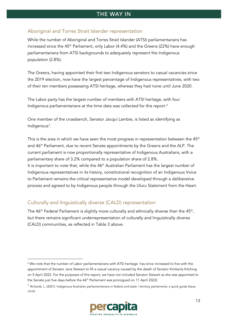#### <span id="page-12-0"></span>Aboriginal and Torres Strait Islander representation

While the number of Aboriginal and Torres Strait Islander (ATSI) parliamentarians has increased since the 45<sup>th</sup> Parliament, only Labor (4.4%) and the Greens (22%) have enough parliamentarians from ATSI backgrounds to adequately represent the Indigenous population (2.8%).

The Greens, having appointed their first two Indigenous senators to casual vacancies since the 2019 election, now have the largest percentage of Indigenous representatives, with two of their ten members possessing ATSI heritage, whereas they had none until June 2020.

The Labor party has the largest number of members with ATSI heritage, with four Indigenous parliamentarians at the time data was collected for this report.[6](#page-12-2)

One member of the crossbench, Senator Jacqui Lambie, is listed as identifying as Indigenous<sup>[7](#page-12-3)</sup>.

This is the area in which we have seen the most progress in representation between the  $45<sup>th</sup>$ and 46<sup>th</sup> Parliament, due to recent Senate appointments by the Greens and the ALP. The current parliament is now proportionally representative of Indigenous Australians, with a parliamentary share of 3.2% compared to a population share of 2.8%. It is important to note that, while the  $46<sup>th</sup>$  Australian Parliament has the largest number of Indigenous representatives in its history, constitutional recognition of an Indigenous Voice to Parliament remains the critical representative model developed through a deliberative process and agreed to by Indigenous people through the Uluru Statement from the Heart.

#### <span id="page-12-1"></span>Culturally and linguistically diverse (CALD) representation

The  $46<sup>th</sup>$  Federal Parliament is slightly more culturally and ethnically diverse than the  $45<sup>th</sup>$ , but there remains significant underrepresentation of culturally and linguistically diverse (CALD) communities, as reflected in [Table 3](#page-11-0) above.

<span id="page-12-3"></span><sup>7</sup> Richards, L. (2021). Indigenous Australian parliamentarians in federal and state / territory parliaments: a quick guide (Issue June).



<span id="page-12-2"></span><sup>&</sup>lt;sup>6</sup> We note that the number of Labor parliamentarians with ATSI heritage has since increased to five with the appointment of Senator Jana Stewart to fill a casual vacancy caused by the death of Senator Kimberly Kitching on 5 April 2022. For the purposes of this report, we have not included Senator Stewart as she was appointed to the Senate just five days before the 46<sup>th</sup> Parliament was prorogued on 11 April 2022)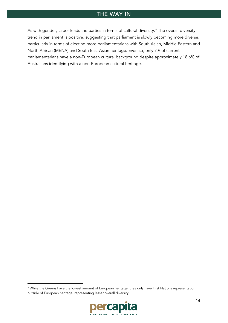As with gender, Labor leads the parties in terms of cultural diversity.<sup>[8](#page-13-0)</sup> The overall diversity trend in parliament is positive, suggesting that parliament is slowly becoming more diverse, particularly in terms of electing more parliamentarians with South Asian, Middle Eastern and North African (MENA) and South East Asian heritage. Even so, only 7% of current parliamentarians have a non-European cultural background despite approximately 18.6% of Australians identifying with a non-European cultural heritage.

<span id="page-13-0"></span><sup>&</sup>lt;sup>8</sup> While the Greens have the lowest amount of European heritage, they only have First Nations representation outside of European heritage, representing lesser overall diversity.

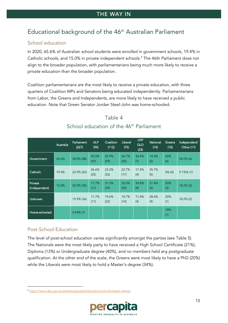# <span id="page-14-0"></span>Educational background of the 46th Australian Parliament

### <span id="page-14-1"></span>School education

In 2020, 65.6% of Australian school students were enrolled in government schools, 19.4% in Catholic schools, and 15.0% in private independent schools. [9](#page-14-3) The 46th Parliament does not align to the broader population, with parliamentarians being much more likely to receive a private education than the broader population.

Coalition parliamentarians are the most likely to receive a private education, with three quarters of Coalition MPs and Senators being educated independently. Parliamentarians from Labor, the Greens and Independents, are more likely to have received a public education. Note that Green Senator Jordan Steel-John was home-schooled.

|                          | Australia | Parliament<br>(227) | <b>ALP</b><br>(94) | Coalition<br>(112) | Liberal<br>(75) | <b>LNP</b><br>QLD<br>(23) | National<br>(14) | Greens<br>(10) | Independent/<br>Other (11) |
|--------------------------|-----------|---------------------|--------------------|--------------------|-----------------|---------------------------|------------------|----------------|----------------------------|
| Government               | 65.6%     | 38.8% (88)          | 50.0%<br>(47)      | 25.9%<br>(29)      | 26.7%<br>(20)   | 30.4%<br>(7)              | 14.2%<br>(2)     | 60%<br>(6)     | $54.5\%$ (6)               |
| Catholic                 | 19.4%     | 22.9% (52)          | 26.6%<br>(25)      | 23.2%<br>(26)      | 22.7%<br>(17)   | 17.4%<br>(4)              | 35.7%<br>(5)     | $0\%$ (0)      | $9.1\%$ % (1)              |
| Private<br>(independent) | 15.0%     | 22.0% (50)          | 11.7%<br>(11)      | 31.3%<br>(35)      | 32.0%<br>(24)   | 34.8%<br>(8)              | 21.4%<br>(3)     | 20%<br>(2)     | $18.2\%$ (2)               |
| Unknown                  |           | 15.9% (36)          | 11.7%<br>(11)      | 19.6%<br>(22)      | 18.7%<br>(14)   | 17.4%<br>(4)              | 28.6%<br>(4)     | 20%<br>(1)     | $18.2\%$ (2)               |
| Home-schooled            |           | $0.44\%$ (1)        |                    |                    |                 |                           |                  | 10%<br>(1)     |                            |

## Table 4 School education of the 46<sup>th</sup> Parliament

### <span id="page-14-2"></span>Post-School Education

The level of post-school education varies significantly amongst the parties (see Table 5). The Nationals were the most likely party to have received a High School Certificate (21%), Diploma (13%) or Undergraduate degree (40%), and no members held any postgraduate qualification. At the other end of the scale, the Greens were most likely to have a PhD (20%) while the Liberals were most likely to hold a Master's degree (34%).

<span id="page-14-3"></span><sup>9</sup> <https://www.abs.gov.au/statistics/people/education/schools/latest-release>

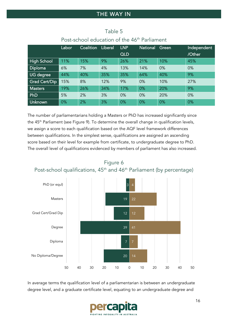|                    | Labor | Coalition | <b>Liberal</b> | <b>LNP</b> | <b>National</b> | Green | Independent |
|--------------------|-------|-----------|----------------|------------|-----------------|-------|-------------|
|                    |       |           |                | QLD        |                 |       | /Other      |
| <b>High School</b> | 11%   | 15%       | 9%             | 26%        | 21%             | 10%   | 45%         |
| <b>Diploma</b>     | 6%    | 7%        | 4%             | 13%        | 14%             | 0%    | 0%          |
| UG degree          | 44%   | 40%       | 35%            | 35%        | 64%             | 40%   | 9%          |
| Grad Cert/Dip      | 15%   | 8%        | 12%            | 9%         | 0%              | 10%   | 27%         |
| <b>Masters</b>     | 19%   | 26%       | 34%            | 17%        | 0%              | 20%   | 9%          |
| PhD                | 5%    | 2%        | 3%             | 0%         | 0%              | 20%   | 0%          |
| <b>Unknown</b>     | 0%    | 2%        | 3%             | 0%         | 0%              | 0%    | 0%          |

## Table 5 Post-school education of the 46<sup>th</sup> Parliament

The number of parliamentarians holding a Masters or PhD has increased significantly since the 45<sup>th</sup> Parliament (see [Figure 9\)](#page-15-0). To determine the overall change in qualification levels, we assign a score to each qualification based on the AQF level framework differences between qualifications. In the simplest sense, qualifications are assigned an ascending score based on their level for example from certificate, to undergraduate degree to PhD. The overall level of qualifications evidenced by members of parliament has also increased.

<span id="page-15-0"></span>



In average terms the qualification level of a parliamentarian is between an undergraduate degree level, and a graduate certificate level, equating to an undergraduate degree and

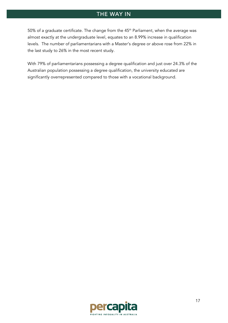50% of a graduate certificate. The change from the  $45<sup>th</sup>$  Parliament, when the average was almost exactly at the undergraduate level, equates to an 8.99% increase in qualification levels. The number of parliamentarians with a Master's degree or above rose from 22% in the last study to 26% in the most recent study.

With 79% of parliamentarians possessing a degree qualification and just over 24.3% of the Australian population possessing a degree qualification, the university educated are significantly overrepresented compared to those with a vocational background.

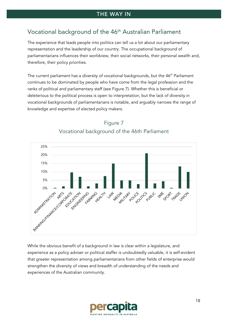# <span id="page-17-0"></span>Vocational background of the 46<sup>th</sup> Australian Parliament

The experience that leads people into politics can tell us a lot about our parliamentary representation and the leadership of our country. The occupational background of parliamentarians influences their worldview, their social networks, their personal wealth and, therefore, their policy priorities.

The current parliament has a diversity of vocational backgrounds, but the 46<sup>th</sup> Parliament continues to be dominated by people who have come from the legal profession and the ranks of political and parliamentary staff (see Figure 7). Whether this is beneficial or deleterious to the political process is open to interpretation, but the lack of diversity in vocational backgrounds of parliamentarians is notable, and arguably narrows the range of knowledge and expertise of elected policy makers.



# Figure 7 Vocational background of the 46th Parliament

While the obvious benefit of a background in law is clear within a legislature, and experience as a policy adviser or political staffer is undoubtedly valuable, it is self-evident that greater representation among parliamentarians from other fields of enterprise would strengthen the diversity of views and breadth of understanding of the needs and experiences of the Australian community.

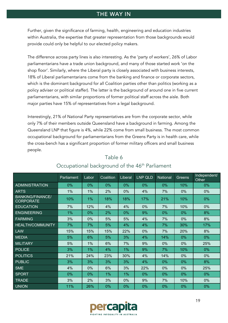Further, given the significance of farming, health, engineering and education industries within Australia, the expertise that greater representation from those backgrounds would provide could only be helpful to our elected policy makers.

The difference across party lines is also interesting. As the 'party of workers', 26% of Labor parliamentarians have a trade union background, and many of those started work 'on the shop floor'. Similarly, where the Liberal party is closely associated with business interests, 18% of Liberal parliamentarians come from the banking and finance or corporate sectors, which is the dominant background for all Coalition parties other than politics (working as a policy adviser or political staffer). The latter is the background of around one in five current parliamentarians, with similar proportions of former political staff across the aisle. Both major parties have 15% of representatives from a legal background.

Interestingly, 21% of National Party representatives are from the corporate sector, while only 7% of their members outside Queensland have a background in farming. Among the Queensland LNP that figure is 4%, while 22% come from small business. The most common occupational background for parliamentarians from the Greens Party is in health care, while the cross-bench has a significant proportion of former military officers and small business people.

|                                             | Parliament | Labor | Coalition | Liberal | <b>LNP QLD</b> | National | Greens | Independent/<br>Other |
|---------------------------------------------|------------|-------|-----------|---------|----------------|----------|--------|-----------------------|
| <b>ADMINISTRATION</b>                       | 0%         | 0%    | 0%        | 0%      | 0%             | 0%       | 10%    | $0\%$                 |
| <b>ARTS</b>                                 | 1%         | 1%    | 2%        | 0%      | 4%             | 7%       | 0%     | 0%                    |
| <b>BANKING/FINANCE/</b><br><b>CORPORATE</b> | 10%        | $1\%$ | 18%       | 18%     | 17%            | 21%      | 10%    | 0%                    |
| <b>EDUCATION</b>                            | 7%         | 12%   | 4%        | 4%      | 0%             | 7%       | 10%    | $0\%$                 |
| <b>ENGINEERING</b>                          | 1%         | 0%    | 2%        | 0%      | 9%             | 0%       | $0\%$  | 8%                    |
| <b>FARMING</b>                              | 3%         | 0%    | 5%        | 5%      | 4%             | 7%       | $0\%$  | 8%                    |
| <b>HEALTH/COMMUNITY</b>                     | 7%         | 7%    | 5%        | 4%      | 4%             | 7%       | 30%    | 17%                   |
| <b>LAW</b>                                  | 15%        | 15%   | 15%       | 22%     | 0%             | 7%       | 20%    | 8%                    |
| <b>MEDIA</b>                                | 5%         | 6%    | 5%        | 3%      | 4%             | 14%      | 0%     | 0%                    |
| <b>MILITARY</b>                             | 5%         | 1%    | 6%        | 7%      | 9%             | 0%       | 0%     | 25%                   |
| <b>POLICE</b>                               | 3%         | 1%    | 4%        | 1%      | 9%             | 7%       | 10%    | 0%                    |
| <b>POLITICS</b>                             | 21%        | 24%   | 23%       | 30%     | 4%             | 14%      | 0%     | 0%                    |
| <b>PUBLIC</b>                               | 3%         | 3%    | 3%        | 3%      | 4%             | 0%       | $0\%$  | 8%                    |
| <b>SME</b>                                  | 4%         | 0%    | 6%        | 3%      | 22%            | 0%       | 0%     | 25%                   |
| <b>SPORT</b>                                | 0%         | 0%    | 1%        | 1%      | 0%             | 0%       | $0\%$  | $0\%$                 |
| <b>TRADE</b>                                | 3%         | 2%    | 3%        | 0%      | 9%             | 7%       | 10%    | 0%                    |
| <b>UNION</b>                                | 11%        | 26%   | 0%        | 0%      | 0%             | 0%       | $0\%$  | $0\%$                 |

## Table 6 Occupational background of the 46<sup>th</sup> Parliament

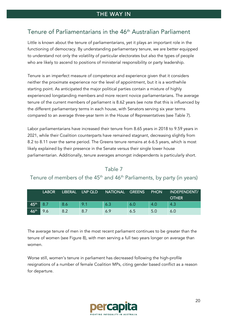# <span id="page-19-0"></span>Tenure of Parliamentarians in the 46<sup>th</sup> Australian Parliament

Little is known about the tenure of parliamentarians, yet it plays an important role in the functioning of democracy. By understanding parliamentary tenure, we are better equipped to understand not only the volatility of particular electorates but also the types of people who are likely to ascend to positions of ministerial responsibility or party leadership.

Tenure is an imperfect measure of competence and experience given that it considers neither the proximate experience nor the level of appointment, but it is a worthwhile starting point. As anticipated the major political parties contain a mixture of highly experienced longstanding members and more recent novice parliamentarians. The average tenure of the current members of parliament is 8.62 years (we note that this is influenced by the different parliamentary terms in each house, with Senators serving six year terms compared to an average three-year term in the House of Representatives (see Table 7).

Labor parliamentarians have increased their tenure from 8.65 years in 2018 to 9.59 years in 2021, while their Coalition counterparts have remained stagnant, decreasing slightly from 8.2 to 8.11 over the same period. The Greens tenure remains at 6-6.5 years, which is most likely explained by their presence in the Senate versus their single lower house parliamentarian. Additionally, tenure averages amongst independents is particularly short.

#### Table 7

# Tenure of members of the 45<sup>th</sup> and 46<sup>th</sup> Parliaments, by party (in years)

|                  | <b>LABOR</b> | <b>LIBERAL</b> | LNP QLD | <b>NATIONAL</b> | <b>GREENS</b> | <b>PHON</b> | INDEPENDENT/<br><b>OTHER</b> |
|------------------|--------------|----------------|---------|-----------------|---------------|-------------|------------------------------|
| 45 <sup>th</sup> |              | 8.6            | 9.1     | 6.3             | 6.0           | 4.0         | 4.3                          |
| 46 <sup>th</sup> |              | 8.2            | 8.7     | 6.9             | 6.5           | 5.0         | 6.0                          |

The average tenure of men in the most recent parliament continues to be greater than the tenure of women (see Figure 8), with men serving a full two years longer on average than women.

Worse still, women's tenure in parliament has decreased following the high-profile resignations of a number of female Coalition MPs, citing gender based conflict as a reason for departure.

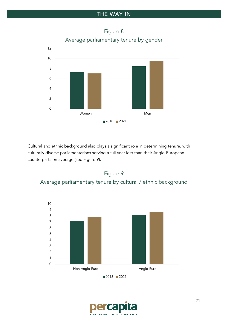

# Figure 8 Average parliamentary tenure by gender

Cultural and ethnic background also plays a significant role in determining tenure, with culturally diverse parliamentarians serving a full year less than their Anglo-European counterparts on average (see Figure 9).





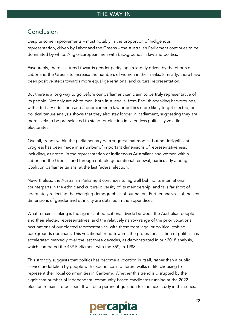# <span id="page-21-0"></span>Conclusion

Despite some improvements – most notably in the proportion of Indigenous representation, driven by Labor and the Greens – the Australian Parliament continues to be dominated by white, Anglo-European men with backgrounds in law and politics.

Favourably, there is a trend towards gender parity, again largely driven by the efforts of Labor and the Greens to increase the numbers of women in their ranks. Similarly, there have been positive steps towards more equal generational and cultural representation.

But there is a long way to go before our parliament can claim to be truly representative of its people. Not only are white men, born in Australia, from English-speaking backgrounds, with a tertiary education and a prior career in law or politics more likely to get elected, our political tenure analysis shows that they also stay longer in parliament, suggesting they are more likely to be pre-selected to stand for election in safer, less politically volatile electorates.

Overall, trends within the parliamentary data suggest that modest but not insignificant progress has been made in a number of important dimensions of representativeness, including, as noted, in the representation of Indigenous Australians and women within Labor and the Greens, and through notable generational renewal, particularly among Coalition parliamentarians, at the last federal election.

Nevertheless, the Australian Parliament continues to lag well behind its international counterparts in the ethnic and cultural diversity of its membership, and falls far short of adequately reflecting the changing demographics of our nation. Further analyses of the key dimensions of gender and ethnicity are detailed in the appendices.

What remains striking is the significant educational divide between the Australian people and their elected representatives, and the relatively narrow range of the prior vocational occupations of our elected representatives, with those from legal or political staffing backgrounds dominant. This vocational trend towards the professionalisation of politics has accelerated markedly over the last three decades, as demonstrated in our 2018 analysis, which compared the  $45<sup>th</sup>$  Parliament with the  $35<sup>th</sup>$ , in 1988.

This strongly suggests that politics has become a vocation in itself, rather than a public service undertaken by people with experience in different walks of life choosing to represent their local communities in Canberra. Whether this trend is disrupted by the significant number of independent, community-based candidates running at the 2022 election remains to be seen. It will be a pertinent question for the next study in this series.

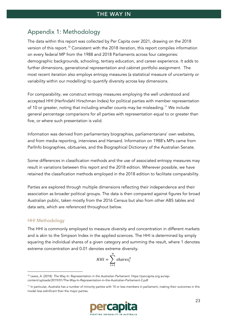# <span id="page-22-0"></span>Appendix 1: Methodology

The data within this report was collected by Per Capita over 2021, drawing on the 2018 version of this report.<sup>[10](#page-22-1)</sup> Consistent with the 2018 iteration, this report compiles information on every federal MP from the 1988 and 2018 Parliaments across four categories: demographic backgrounds, schooling, tertiary education, and career experience. It adds to further dimensions, generational representation and cabinet portfolio assignment. The most recent iteration also employs entropy measures (a statistical measure of uncertainty or variability within our modelling) to quantify diversity across key dimensions.

For comparability, we construct entropy measures employing the well understood and accepted HHI (Herfindahl Hirschman Index) for political parties with member representation of 10 or greater, noting that including smaller counts may be misleading.<sup>[11](#page-22-2)</sup> We include general percentage comparisons for all parties with representation equal to or greater than five, or where such presentation is valid.

Information was derived from parliamentary biographies, parliamentarians' own websites, and from media reporting, interviews and Hansard. Information on 1988's MPs came from ParlInfo biographies, obituaries, and the Biographical Dictionary of the Australian Senate.

Some differences in classification methods and the use of associated entropy measures may result in variations between this report and the 2018 edition. Wherever possible, we have retained the classification methods employed in the 2018 edition to facilitate comparability.

Parties are explored through multiple dimensions reflecting their independence and their association as broader political groups. The data is then compared against figures for broad Australian public, taken mostly from the 2016 Census but also from other ABS tables and data sets, which are referenced throughout below.

#### HHI Methodology

The HHI is commonly employed to measure diversity and concentration in different markets and is akin to the Simpson Index in the applied sciences. The HHI is determined by simply squaring the individual shares of a given category and summing the result, where 1 denotes extreme concentration and 0.01 denotes extreme diversity.

$$
HHI = \sum_{i=1}^{n} shares_i^2
$$

<span id="page-22-2"></span><sup>11</sup> In particular, Australia has a number of minority parties with 10 or less members in parliament, making their outcomes in this model less sidnificant than the major parties.



<span id="page-22-1"></span><sup>10</sup> Lewis, A. (2018). *The Way In: Representation in the Australian Parliament*. https://percapita.org.au/wpcontent/uploads/2019/01/The-Way-In-Representation-in-the-Australian-Parliament-2.pdf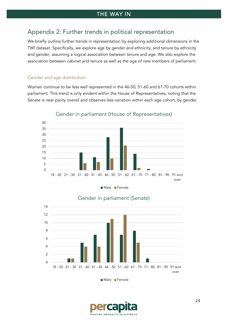## <span id="page-23-0"></span>Appendix 2: Further trends in political representation

We briefly outline further trends in representation by exploring additional dimensions in the TWI dataset. Specifically, we explore age by gender and ethnicity, and tenure by ethnicity and gender, assuming a logical association between tenure and age. We also explore the association between cabinet and tenure as well as the age of new members of parliament.

#### Gender and age distribution

Women continue to be less well represented in the 46-50, 51-60 and 61-70 cohorts within parliament. This trend is only evident within the House of Representatives, noting that the Senate is near parity overall and observes less variation within each age cohort, by gender.



Gender in parliament (House of Representatives)





### Gender in parliament (Senate)

Male Female